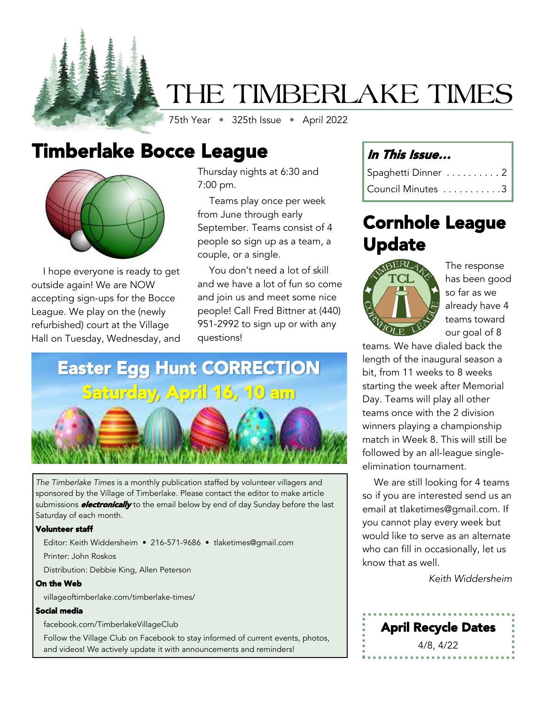

# THE TIMBERLAKE TIMES

75th Year • 325th Issue • April 2022

## Timberlake Bocce League



I hope everyone is ready to get outside again! We are NOW accepting sign-ups for the Bocce League. We play on the (newly refurbished) court at the Village Hall on Tuesday, Wednesday, and Thursday nights at 6:30 and 7:00 pm.

Teams play once per week from June through early September. Teams consist of 4 people so sign up as a team, a couple, or a single.

You don't need a lot of skill and we have a lot of fun so come and join us and meet some nice people! Call Fred Bittner at (440) 951-2992 to sign up or with any questions!

# Easter Egg Hunt CORRECTION Saturday, April 16, 10 am



### Saturday of each month.

Volunteer staff

Editor: Keith Widdersheim • 216-571-9686 • tlaketimes@gmail.com

Printer: John Roskos

Distribution: Debbie King, Allen Peterson

#### On the Web

villageoftimberlake.com/timberlake-times/

#### Social media

facebook.com/TimberlakeVillageClub

Follow the Village Club on Facebook to stay informed of current events, photos, and videos! We actively update it with announcements and reminders!

## In This Issue…

| Spaghetti Dinner 2 |
|--------------------|
| Council Minutes 3  |

## Cornhole League Update



The response has been good so far as we already have 4 teams toward our goal of 8

teams. We have dialed back the length of the inaugural season a bit, from 11 weeks to 8 weeks starting the week after Memorial Day. Teams will play all other teams once with the 2 division winners playing a championship match in Week 8. This will still be followed by an all-league singleelimination tournament.

We are still looking for 4 teams so if you are interested send us an email at tlaketimes@gmail.com. If you cannot play every week but would like to serve as an alternate who can fill in occasionally, let us know that as well.

*Keith Widdersheim*

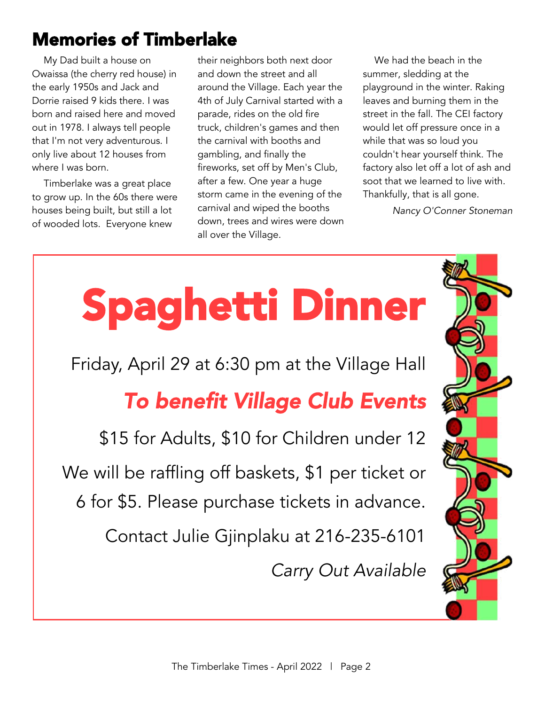## Memories of Timberlake

My Dad built a house on Owaissa (the cherry red house) in the early 1950s and Jack and Dorrie raised 9 kids there. I was born and raised here and moved out in 1978. I always tell people that I'm not very adventurous. I only live about 12 houses from where I was born.

Timberlake was a great place to grow up. In the 60s there were houses being built, but still a lot of wooded lots. Everyone knew

their neighbors both next door and down the street and all around the Village. Each year the 4th of July Carnival started with a parade, rides on the old fire truck, children's games and then the carnival with booths and gambling, and finally the fireworks, set off by Men's Club, after a few. One year a huge storm came in the evening of the carnival and wiped the booths down, trees and wires were down all over the Village.

We had the beach in the summer, sledding at the playground in the winter. Raking leaves and burning them in the street in the fall. The CEI factory would let off pressure once in a while that was so loud you couldn't hear yourself think. The factory also let off a lot of ash and soot that we learned to live with. Thankfully, that is all gone.

*Nancy O'Conner Stoneman*

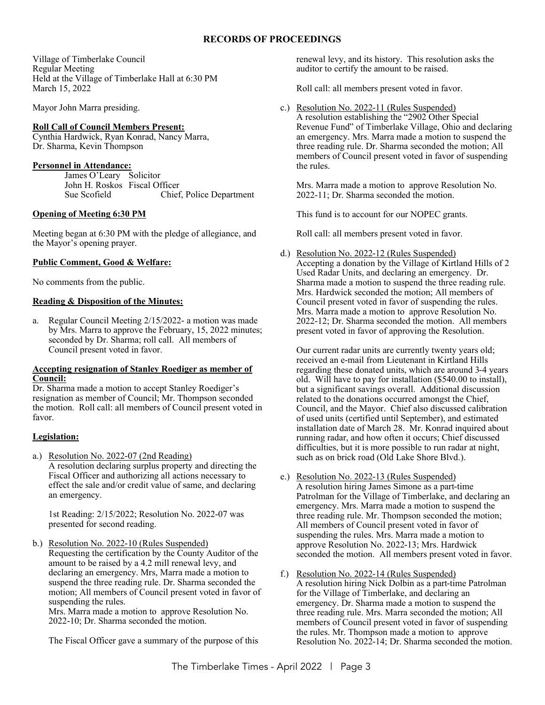#### **RECORDS OF PROCEEDINGS**

Village of Timberlake Council Regular Meeting Held at the Village of Timberlake Hall at 6:30 PM March 15, 2022

Mayor John Marra presiding.

#### **Roll Call of Council Members Present:**

Cynthia Hardwick, Ryan Konrad, Nancy Marra, Dr. Sharma, Kevin Thompson

#### **Personnel in Attendance:**

James O'Leary Solicitor John H. Roskos Fiscal Officer Sue Scofield Chief, Police Department

#### **Opening of Meeting 6:30 PM**

Meeting began at 6:30 PM with the pledge of allegiance, and the Mayor's opening prayer.

#### **Public Comment, Good & Welfare:**

No comments from the public.

#### **Reading & Disposition of the Minutes:**

a. Regular Council Meeting 2/15/2022- a motion was made by Mrs. Marra to approve the February, 15, 2022 minutes; seconded by Dr. Sharma; roll call. All members of Council present voted in favor.

#### **Accepting resignation of Stanley Roediger as member of Council:**

Dr. Sharma made a motion to accept Stanley Roediger's resignation as member of Council; Mr. Thompson seconded the motion. Roll call: all members of Council present voted in favor.

#### **Legislation:**

a.) Resolution No. 2022-07 (2nd Reading) A resolution declaring surplus property and directing the Fiscal Officer and authorizing all actions necessary to effect the sale and/or credit value of same, and declaring an emergency.

1st Reading: 2/15/2022; Resolution No. 2022-07 was presented for second reading.

b.) Resolution No. 2022-10 (Rules Suspended) Requesting the certification by the County Auditor of the amount to be raised by a 4.2 mill renewal levy, and declaring an emergency. Mrs, Marra made a motion to suspend the three reading rule. Dr. Sharma seconded the motion; All members of Council present voted in favor of suspending the rules.

Mrs. Marra made a motion to approve Resolution No. 2022-10; Dr. Sharma seconded the motion.

The Fiscal Officer gave a summary of the purpose of this

renewal levy, and its history. This resolution asks the auditor to certify the amount to be raised.

Roll call: all members present voted in favor.

c.) Resolution No. 2022-11 (Rules Suspended) A resolution establishing the "2902 Other Special Revenue Fund" of Timberlake Village, Ohio and declaring an emergency. Mrs. Marra made a motion to suspend the three reading rule. Dr. Sharma seconded the motion; All members of Council present voted in favor of suspending the rules.

Mrs. Marra made a motion to approve Resolution No. 2022-11; Dr. Sharma seconded the motion.

This fund is to account for our NOPEC grants.

Roll call: all members present voted in favor.

d.) Resolution No. 2022-12 (Rules Suspended) Accepting a donation by the Village of Kirtland Hills of 2 Used Radar Units, and declaring an emergency. Dr. Sharma made a motion to suspend the three reading rule. Mrs. Hardwick seconded the motion; All members of Council present voted in favor of suspending the rules. Mrs. Marra made a motion to approve Resolution No. 2022-12; Dr. Sharma seconded the motion. All members present voted in favor of approving the Resolution.

Our current radar units are currently twenty years old; received an e-mail from Lieutenant in Kirtland Hills regarding these donated units, which are around 3-4 years old. Will have to pay for installation (\$540.00 to install), but a significant savings overall. Additional discussion related to the donations occurred amongst the Chief, Council, and the Mayor. Chief also discussed calibration of used units (certified until September), and estimated installation date of March 28. Mr. Konrad inquired about running radar, and how often it occurs; Chief discussed difficulties, but it is more possible to run radar at night, such as on brick road (Old Lake Shore Blvd.).

- e.) Resolution No. 2022-13 (Rules Suspended) A resolution hiring James Simone as a part-time Patrolman for the Village of Timberlake, and declaring an emergency. Mrs. Marra made a motion to suspend the three reading rule. Mr. Thompson seconded the motion; All members of Council present voted in favor of suspending the rules. Mrs. Marra made a motion to approve Resolution No. 2022-13; Mrs. Hardwick seconded the motion. All members present voted in favor.
- f.) Resolution No. 2022-14 (Rules Suspended) A resolution hiring Nick Dolbin as a part-time Patrolman for the Village of Timberlake, and declaring an emergency. Dr. Sharma made a motion to suspend the three reading rule. Mrs. Marra seconded the motion; All members of Council present voted in favor of suspending the rules. Mr. Thompson made a motion to approve Resolution No. 2022-14; Dr. Sharma seconded the motion.